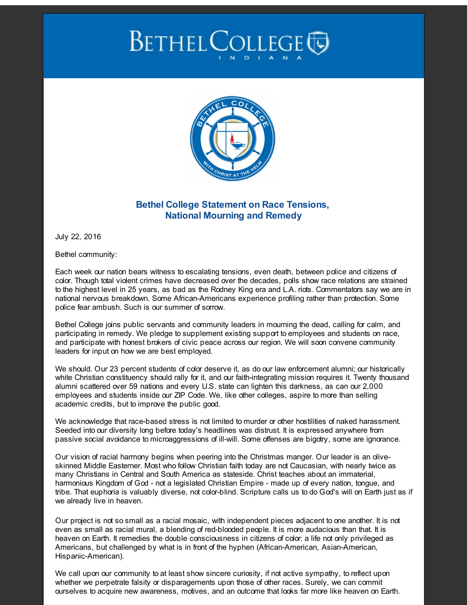## **BETHEL COLLEGE**



## **Bethel College Statement on Race Tensions, National Mourning and Remedy**

July 22, 2016

Bethel community:

Each week our nation bears witness to escalating tensions, even death, between police and citizens of color. Though total violent crimes have decreased over the decades, polls show race relations are strained to the highest level in 25 years, as bad as the Rodney King era and L.A. riots. Commentators say we are in national nervous breakdown. Some African-Americans experience profiling rather than protection. Some police fear ambush. Such is our summer of sorrow.

Bethel College joins public servants and community leaders in mourning the dead, calling for calm, and participating in remedy. We pledge to supplement existing support to employees and students on race, and participate with honest brokers of civic peace across our region. We will soon convene community leaders for input on how we are best employed.

We should. Our 23 percent students of color deserve it, as do our law enforcement alumni; our historically white Christian constituency should rally for it, and our faith-integrating mission requires it. Twenty thousand alumni scattered over 59 nations and every U.S. state can lighten this darkness, as can our 2,000 employees and students inside our ZIP Code. We, like other colleges, aspire to more than selling academic credits, but to improve the public good.

We acknowledge that race-based stress is not limited to murder or other hostilities of naked harassment. Seeded into our diversity long before today's headlines was distrust. It is expressed anywhere from passive social avoidance to microaggressions of ill-will. Some offenses are bigotry, some are ignorance.

Our vision of racial harmony begins when peering into the Christmas manger. Our leader is an oliveskinned Middle Easterner. Most who follow Christian faith today are not Caucasian, with nearly twice as many Christians in Central and South America as stateside. Christ teaches about an immaterial, harmonious Kingdom of God - not a legislated Christian Empire - made up of every nation, tongue, and tribe. That euphoria is valuably diverse, not color-blind. Scripture calls us to do God's will on Earth just as if we already live in heaven.

Our project is not so small as a racial mosaic, with independent pieces adjacent to one another. It is not even as small as racial mural, a blending of red-blooded people. It is more audacious than that. It is heaven on Earth. It remedies the double consciousness in citizens of color: a life not only privileged as Americans, but challenged by what is in front of the hyphen (African-American, Asian-American, Hispanic-American).

We call upon our community to at least show sincere curiosity, if not active sympathy, to reflect upon whether we perpetrate falsity or disparagements upon those of other races. Surely, we can commit ourselves to acquire new awareness, motives, and an outcome that looks far more like heaven on Earth.